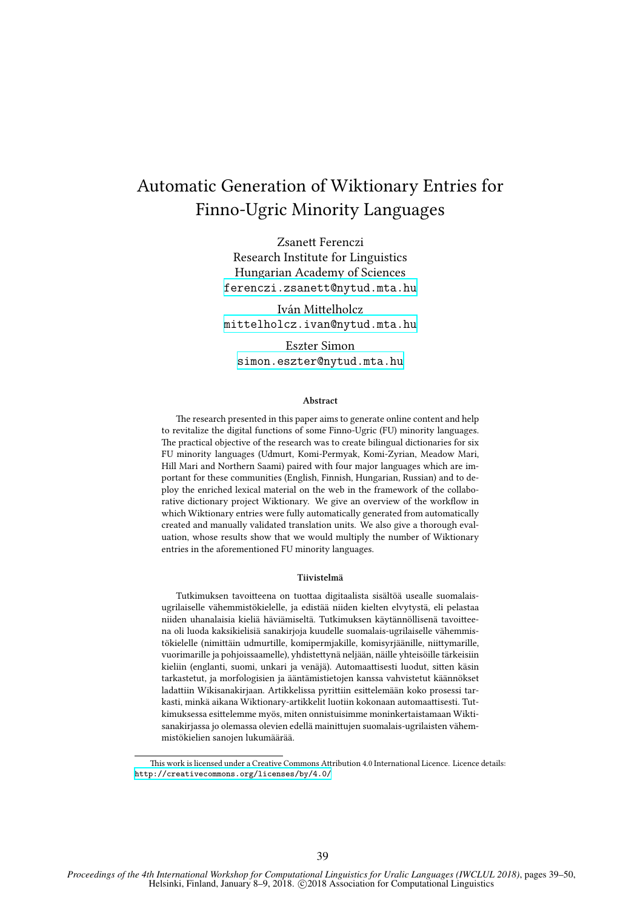# Automatic Generation of Wiktionary Entries for Finno-Ugric Minority Languages

Zsanett Ferenczi Research Institute for Linguistics Hungarian Academy of Sciences <ferenczi.zsanett@nytud.mta.hu>

Iván Mittelholcz <mittelholcz.ivan@nytud.mta.hu>

Eszter Simon <simon.eszter@nytud.mta.hu>

#### **Abstract**

The research presented in this paper aims to generate online content and help to revitalize the digital functions of some Finno-Ugric (FU) minority languages. The practical objective of the research was to create bilingual dictionaries for six FU minority languages (Udmurt, Komi-Permyak, Komi-Zyrian, Meadow Mari, Hill Mari and Northern Saami) paired with four major languages which are important for these communities (English, Finnish, Hungarian, Russian) and to deploy the enriched lexical material on the web in the framework of the collaborative dictionary project Wiktionary. We give an overview of the workflow in which Wiktionary entries were fully automatically generated from automatically created and manually validated translation units. We also give a thorough evaluation, whose results show that we would multiply the number of Wiktionary entries in the aforementioned FU minority languages.

#### **Tiivistelmä**

Tutkimuksen tavoitteena on tuottaa digitaalista sisältöä usealle suomalaisugrilaiselle vähemmistökielelle, ja edistää niiden kielten elvytystä, eli pelastaa niiden uhanalaisia kieliä häviämiseltä. Tutkimuksen käytännöllisenä tavoitteena oli luoda kaksikielisiä sanakirjoja kuudelle suomalais-ugrilaiselle vähemmistökielelle (nimittäin udmurtille, komipermjakille, komisyrjäänille, niittymarille, vuorimarille ja pohjoissaamelle), yhdistettynä neljään, näille yhteisöille tärkeisiin kieliin (englanti, suomi, unkari ja venäjä). Automaattisesti luodut, sitten käsin tarkastetut, ja morfologisien ja ääntämistietojen kanssa vahvistetut käännökset ladattiin Wikisanakirjaan. Artikkelissa pyrittiin esittelemään koko prosessi tarkasti, minkä aikana Wiktionary-artikkelit luotiin kokonaan automaattisesti. Tutkimuksessa esittelemme myös, miten onnistuisimme moninkertaistamaan Wiktisanakirjassa jo olemassa olevien edellä mainittujen suomalais-ugrilaisten vähemmistökielien sanojen lukumäärää.

This work is licensed under a Creative Commons Attribution 4.0 International Licence. Licence details: <http://creativecommons.org/licenses/by/4.0/>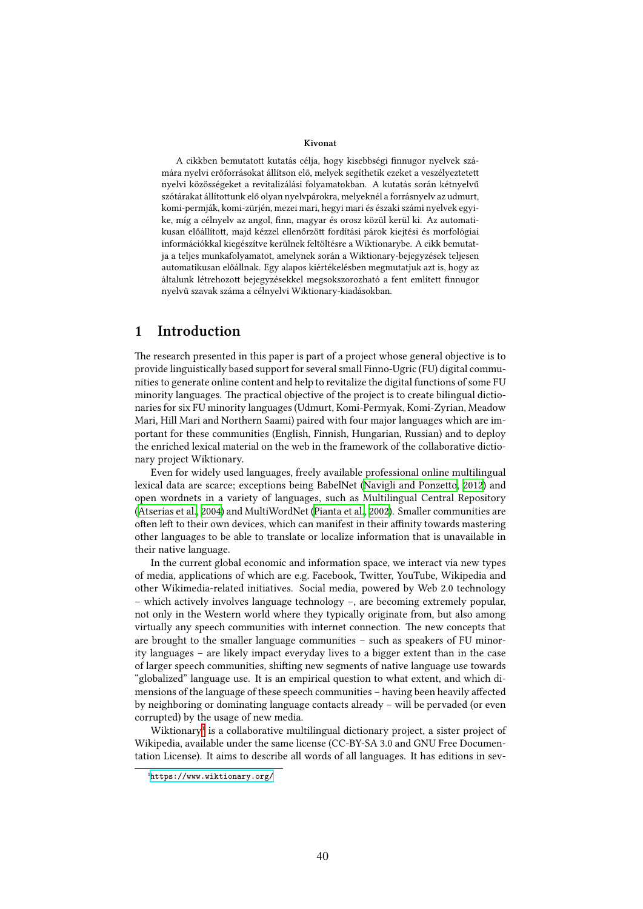#### **Kivonat**

A cikkben bemutatott kutatás célja, hogy kisebbségi finnugor nyelvek számára nyelvi erőforrásokat állítson elő, melyek segíthetik ezeket a veszélyeztetett nyelvi közösségeket a revitalizálási folyamatokban. A kutatás során kétnyelvű szótárakat állítottunk elő olyan nyelvpárokra, melyeknél a forrásnyelv az udmurt, komi-permják, komi-zürjén, mezei mari, hegyi mari és északi számi nyelvek egyike, míg a célnyelv az angol, finn, magyar és orosz közül kerül ki. Az automatikusan előállított, majd kézzel ellenőrzött fordítási párok kiejtési és morfológiai információkkal kiegészítve kerülnek feltöltésre a Wiktionarybe. A cikk bemutatja a teljes munkafolyamatot, amelynek során a Wiktionary-bejegyzések teljesen automatikusan előállnak. Egy alapos kiértékelésben megmutatjuk azt is, hogy az általunk létrehozott bejegyzésekkel megsokszorozható a fent említett finnugor nyelvű szavak száma a célnyelvi Wiktionary-kiadásokban.

### **1 Introduction**

The research presented in this paper is part of a project whose general objective is to provide linguistically based support for several small Finno-Ugric (FU) digital communities to generate online content and help to revitalize the digital functions of some FU minority languages. The practical objective of the project is to create bilingual dictionaries for six FU minority languages (Udmurt, Komi-Permyak, Komi-Zyrian, Meadow Mari, Hill Mari and Northern Saami) paired with four major languages which are important for these communities (English, Finnish, Hungarian, Russian) and to deploy the enriched lexical material on the web in the framework of the collaborative dictionary project Wiktionary.

Even for widely used languages, freely available professional online multilingual lexical data are scarce; exceptions being BabelNet([Navigli and Ponzetto](#page-10-0), [2012](#page-10-0)) and open wordnets in a variety of languages, such as Multilingual Central Repository ([Atserias et al.](#page-10-1), [2004\)](#page-10-1) and MultiWordNet([Pianta et al.,](#page-10-2) [2002](#page-10-2)). Smaller communities are often left to their own devices, which can manifest in their affinity towards mastering other languages to be able to translate or localize information that is unavailable in their native language.

In the current global economic and information space, we interact via new types of media, applications of which are e.g. Facebook, Twitter, YouTube, Wikipedia and other Wikimedia-related initiatives. Social media, powered by Web 2.0 technology – which actively involves language technology –, are becoming extremely popular, not only in the Western world where they typically originate from, but also among virtually any speech communities with internet connection. The new concepts that are brought to the smaller language communities – such as speakers of FU minority languages – are likely impact everyday lives to a bigger extent than in the case of larger speech communities, shifting new segments of native language use towards "globalized" language use. It is an empirical question to what extent, and which dimensions of the language of these speech communities – having been heavily affected by neighboring or dominating language contacts already – will be pervaded (or even corrupted) by the usage of new media.

Wiktionary<sup>1</sup> is a collaborative multilingual dictionary project, a sister project of Wikipedia, available under the same license (CC-BY-SA 3.0 and GNU Free Documentation License). It aims to describe all words of all languages. It has editions in sev-

<span id="page-1-0"></span>¹<https://www.wiktionary.org/>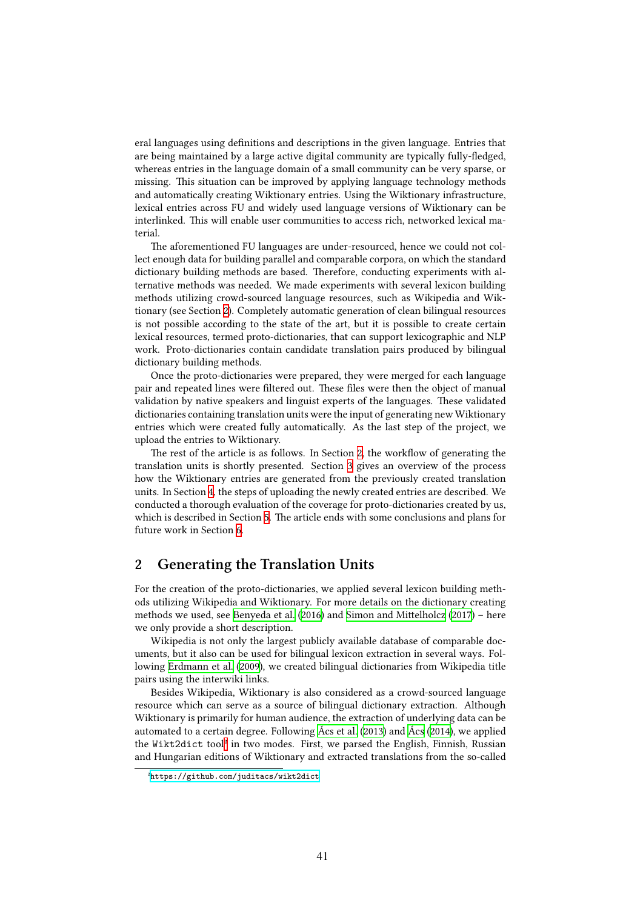eral languages using definitions and descriptions in the given language. Entries that are being maintained by a large active digital community are typically fully-fledged, whereas entries in the language domain of a small community can be very sparse, or missing. This situation can be improved by applying language technology methods and automatically creating Wiktionary entries. Using the Wiktionary infrastructure, lexical entries across FU and widely used language versions of Wiktionary can be interlinked. This will enable user communities to access rich, networked lexical material.

The aforementioned FU languages are under-resourced, hence we could not collect enough data for building parallel and comparable corpora, on which the standard dictionary building methods are based. Therefore, conducting experiments with alternative methods was needed. We made experiments with several lexicon building methods utilizing crowd-sourced language resources, such as Wikipedia and Wiktionary (see Section [2\)](#page-2-0). Completely automatic generation of clean bilingual resources is not possible according to the state of the art, but it is possible to create certain lexical resources, termed proto-dictionaries, that can support lexicographic and NLP work. Proto-dictionaries contain candidate translation pairs produced by bilingual dictionary building methods.

Once the proto-dictionaries were prepared, they were merged for each language pair and repeated lines were filtered out. These files were then the object of manual validation by native speakers and linguist experts of the languages. These validated dictionaries containing translation units were the input of generating new Wiktionary entries which were created fully automatically. As the last step of the project, we upload the entries to Wiktionary.

The rest of the article is as follows. In Section [2](#page-2-0), the workflow of generating the translation units is shortly presented. Section [3](#page-3-0) gives an overview of the process how the Wiktionary entries are generated from the previously created translation units. In Section [4,](#page-7-0) the steps of uploading the newly created entries are described. We conducted a thorough evaluation of the coverage for proto-dictionaries created by us, which is described in Section [5](#page-8-0). The article ends with some conclusions and plans for future work in Section [6](#page-9-0).

# <span id="page-2-0"></span>**2 Generating the Translation Units**

For the creation of the proto-dictionaries, we applied several lexicon building methods utilizing Wikipedia and Wiktionary. For more details on the dictionary creating methods we used, see [Benyeda et al.](#page-10-3) ([2016](#page-10-3)) and [Simon and Mittelholcz](#page-11-0) [\(2017\)](#page-11-0) – here we only provide a short description.

Wikipedia is not only the largest publicly available database of comparable documents, but it also can be used for bilingual lexicon extraction in several ways. Following [Erdmann et al.](#page-10-4) ([2009](#page-10-4)), we created bilingual dictionaries from Wikipedia title pairs using the interwiki links.

Besides Wikipedia, Wiktionary is also considered as a crowd-sourced language resource which can serve as a source of bilingual dictionary extraction. Although Wiktionary is primarily for human audience, the extraction of underlying data can be automated to a certain degree. Following [Ács et al.](#page-10-5) ([2013](#page-10-5)) and [Ács](#page-10-6) [\(2014\)](#page-10-6), we applied the Wikt2dict too[l²](#page-2-1) in two modes. First, we parsed the English, Finnish, Russian and Hungarian editions of Wiktionary and extracted translations from the so-called

<span id="page-2-1"></span>²<https://github.com/juditacs/wikt2dict>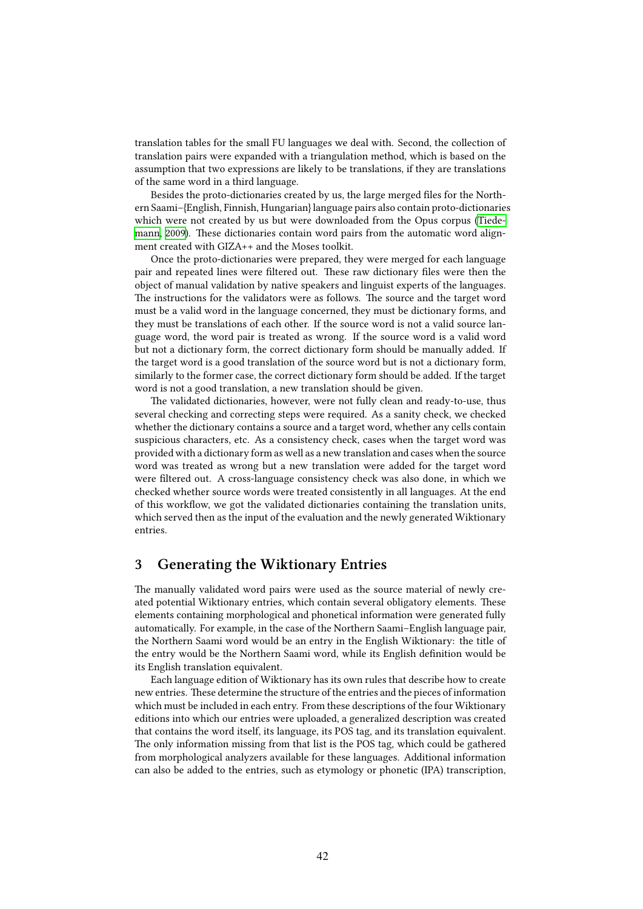translation tables for the small FU languages we deal with. Second, the collection of translation pairs were expanded with a triangulation method, which is based on the assumption that two expressions are likely to be translations, if they are translations of the same word in a third language.

Besides the proto-dictionaries created by us, the large merged files for the Northern Saami–{English, Finnish, Hungarian} language pairs also contain proto-dictionaries which were not created by us but were downloaded from the Opus corpus [\(Tiede](#page-11-1)[mann](#page-11-1), [2009\)](#page-11-1). These dictionaries contain word pairs from the automatic word alignment created with GIZA++ and the Moses toolkit.

Once the proto-dictionaries were prepared, they were merged for each language pair and repeated lines were filtered out. These raw dictionary files were then the object of manual validation by native speakers and linguist experts of the languages. The instructions for the validators were as follows. The source and the target word must be a valid word in the language concerned, they must be dictionary forms, and they must be translations of each other. If the source word is not a valid source language word, the word pair is treated as wrong. If the source word is a valid word but not a dictionary form, the correct dictionary form should be manually added. If the target word is a good translation of the source word but is not a dictionary form, similarly to the former case, the correct dictionary form should be added. If the target word is not a good translation, a new translation should be given.

The validated dictionaries, however, were not fully clean and ready-to-use, thus several checking and correcting steps were required. As a sanity check, we checked whether the dictionary contains a source and a target word, whether any cells contain suspicious characters, etc. As a consistency check, cases when the target word was provided with a dictionary form as well as a new translation and cases when the source word was treated as wrong but a new translation were added for the target word were filtered out. A cross-language consistency check was also done, in which we checked whether source words were treated consistently in all languages. At the end of this workflow, we got the validated dictionaries containing the translation units, which served then as the input of the evaluation and the newly generated Wiktionary entries.

## <span id="page-3-0"></span>**3 Generating the Wiktionary Entries**

The manually validated word pairs were used as the source material of newly created potential Wiktionary entries, which contain several obligatory elements. These elements containing morphological and phonetical information were generated fully automatically. For example, in the case of the Northern Saami–English language pair, the Northern Saami word would be an entry in the English Wiktionary: the title of the entry would be the Northern Saami word, while its English definition would be its English translation equivalent.

Each language edition of Wiktionary has its own rules that describe how to create new entries. These determine the structure of the entries and the pieces of information which must be included in each entry. From these descriptions of the four Wiktionary editions into which our entries were uploaded, a generalized description was created that contains the word itself, its language, its POS tag, and its translation equivalent. The only information missing from that list is the POS tag, which could be gathered from morphological analyzers available for these languages. Additional information can also be added to the entries, such as etymology or phonetic (IPA) transcription,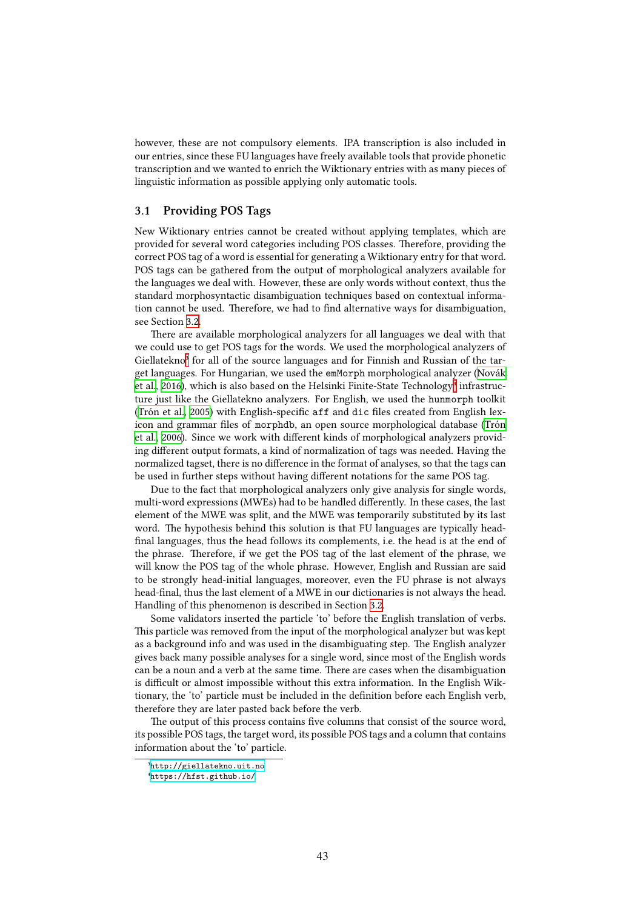however, these are not compulsory elements. IPA transcription is also included in our entries, since these FU languages have freely available tools that provide phonetic transcription and we wanted to enrich the Wiktionary entries with as many pieces of linguistic information as possible applying only automatic tools.

### <span id="page-4-2"></span>**3.1 Providing POS Tags**

New Wiktionary entries cannot be created without applying templates, which are provided for several word categories including POS classes. Therefore, providing the correct POS tag of a word is essential for generating a Wiktionary entry for that word. POS tags can be gathered from the output of morphological analyzers available for the languages we deal with. However, these are only words without context, thus the standard morphosyntactic disambiguation techniques based on contextual information cannot be used. Therefore, we had to find alternative ways for disambiguation, see Section [3.2.](#page-5-0)

There are available morphological analyzers for all languages we deal with that we could use to get POS tags for the words. We used the morphological analyzers of Giellatekno<sup>3</sup> for all of the source languages and for Finnish and Russian of the target languages. For Hungarian, we used the emMorph morphological analyzer([Novák](#page-10-7) [et al.](#page-10-7), [2016\)](#page-10-7), which is also based on the Helsinki Finite-State Technology<sup>4</sup> infrastructure just like the Giellatekno analyzers. For English, we used the hunmorph toolkit ([Trón et al.,](#page-11-2) [2005](#page-11-2)) with English-specific aff and dic files created from English lexicon and grammar files of morphdb, an open source morphological database([Trón](#page-11-3) [et al.,](#page-11-3) [2006](#page-11-3)). Since we work with different kinds of morphological analyzers providing different output formats, a kind of normalization of tags was needed. Having the normalized tagset, there is no difference in the format of analyses, so that the tags can be used in further steps without having different notations for the same POS tag.

Due to the fact that morphological analyzers only give analysis for single words, multi-word expressions (MWEs) had to be handled differently. In these cases, the last element of the MWE was split, and the MWE was temporarily substituted by its last word. The hypothesis behind this solution is that FU languages are typically headfinal languages, thus the head follows its complements, i.e. the head is at the end of the phrase. Therefore, if we get the POS tag of the last element of the phrase, we will know the POS tag of the whole phrase. However, English and Russian are said to be strongly head-initial languages, moreover, even the FU phrase is not always head-final, thus the last element of a MWE in our dictionaries is not always the head. Handling of this phenomenon is described in Section [3.2](#page-5-0).

Some validators inserted the particle 'to' before the English translation of verbs. This particle was removed from the input of the morphological analyzer but was kept as a background info and was used in the disambiguating step. The English analyzer gives back many possible analyses for a single word, since most of the English words can be a noun and a verb at the same time. There are cases when the disambiguation is difficult or almost impossible without this extra information. In the English Wiktionary, the 'to' particle must be included in the definition before each English verb, therefore they are later pasted back before the verb.

The output of this process contains five columns that consist of the source word, its possible POS tags, the target word, its possible POS tags and a column that contains information about the 'to' particle.

<span id="page-4-0"></span>³<http://giellatekno.uit.no>

<span id="page-4-1"></span>⁴<https://hfst.github.io/>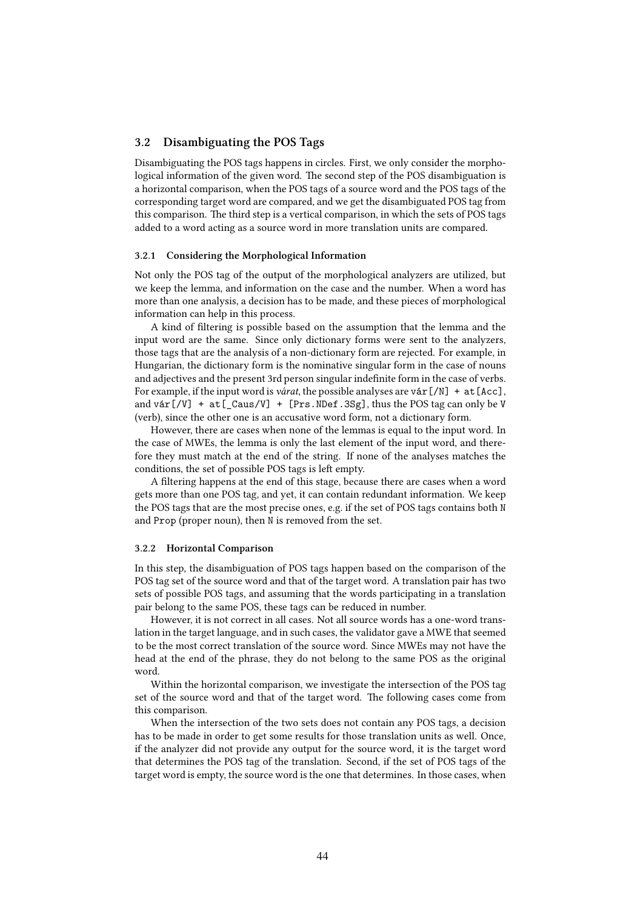### <span id="page-5-0"></span>**3.2 Disambiguating the POS Tags**

Disambiguating the POS tags happens in circles. First, we only consider the morphological information of the given word. The second step of the POS disambiguation is a horizontal comparison, when the POS tags of a source word and the POS tags of the corresponding target word are compared, and we get the disambiguated POS tag from this comparison. The third step is a vertical comparison, in which the sets of POS tags added to a word acting as a source word in more translation units are compared.

#### **3.2.1 Considering the Morphological Information**

Not only the POS tag of the output of the morphological analyzers are utilized, but we keep the lemma, and information on the case and the number. When a word has more than one analysis, a decision has to be made, and these pieces of morphological information can help in this process.

A kind of filtering is possible based on the assumption that the lemma and the input word are the same. Since only dictionary forms were sent to the analyzers, those tags that are the analysis of a non-dictionary form are rejected. For example, in Hungarian, the dictionary form is the nominative singular form in the case of nouns and adjectives and the present 3rd person singular indefinite form in the case of verbs. For example, if the input word is *várat*, the possible analyses are vár [/N] + at [Acc], and vár $[VV]$  + at  $[Caus/V]$  +  $[Prs. NDef. 3Sg]$ , thus the POS tag can only be V (verb), since the other one is an accusative word form, not a dictionary form.

However, there are cases when none of the lemmas is equal to the input word. In the case of MWEs, the lemma is only the last element of the input word, and therefore they must match at the end of the string. If none of the analyses matches the conditions, the set of possible POS tags is left empty.

A filtering happens at the end of this stage, because there are cases when a word gets more than one POS tag, and yet, it can contain redundant information. We keep the POS tags that are the most precise ones, e.g. if the set of POS tags contains both N and Prop (proper noun), then N is removed from the set.

#### **3.2.2 Horizontal Comparison**

In this step, the disambiguation of POS tags happen based on the comparison of the POS tag set of the source word and that of the target word. A translation pair has two sets of possible POS tags, and assuming that the words participating in a translation pair belong to the same POS, these tags can be reduced in number.

However, it is not correct in all cases. Not all source words has a one-word translation in the target language, and in such cases, the validator gave a MWE that seemed to be the most correct translation of the source word. Since MWEs may not have the head at the end of the phrase, they do not belong to the same POS as the original word.

Within the horizontal comparison, we investigate the intersection of the POS tag set of the source word and that of the target word. The following cases come from this comparison.

When the intersection of the two sets does not contain any POS tags, a decision has to be made in order to get some results for those translation units as well. Once, if the analyzer did not provide any output for the source word, it is the target word that determines the POS tag of the translation. Second, if the set of POS tags of the target word is empty, the source word is the one that determines. In those cases, when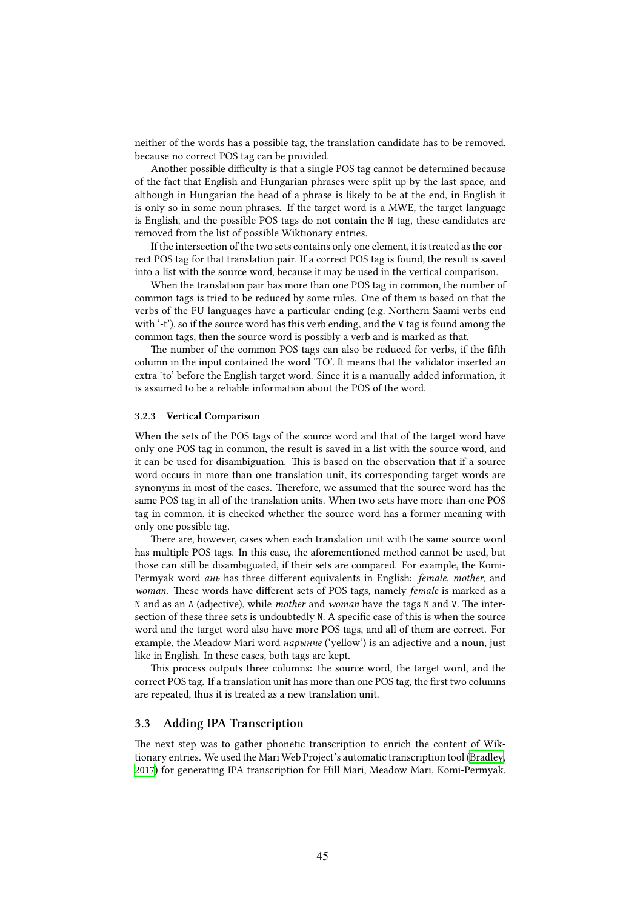neither of the words has a possible tag, the translation candidate has to be removed, because no correct POS tag can be provided.

Another possible difficulty is that a single POS tag cannot be determined because of the fact that English and Hungarian phrases were split up by the last space, and although in Hungarian the head of a phrase is likely to be at the end, in English it is only so in some noun phrases. If the target word is a MWE, the target language is English, and the possible POS tags do not contain the N tag, these candidates are removed from the list of possible Wiktionary entries.

If the intersection of the two sets contains only one element, it is treated as the correct POS tag for that translation pair. If a correct POS tag is found, the result is saved into a list with the source word, because it may be used in the vertical comparison.

When the translation pair has more than one POS tag in common, the number of common tags is tried to be reduced by some rules. One of them is based on that the verbs of the FU languages have a particular ending (e.g. Northern Saami verbs end with '-t'), so if the source word has this verb ending, and the V tag is found among the common tags, then the source word is possibly a verb and is marked as that.

The number of the common POS tags can also be reduced for verbs, if the fifth column in the input contained the word 'TO'. It means that the validator inserted an extra 'to' before the English target word. Since it is a manually added information, it is assumed to be a reliable information about the POS of the word.

#### **3.2.3 Vertical Comparison**

When the sets of the POS tags of the source word and that of the target word have only one POS tag in common, the result is saved in a list with the source word, and it can be used for disambiguation. This is based on the observation that if a source word occurs in more than one translation unit, its corresponding target words are synonyms in most of the cases. Therefore, we assumed that the source word has the same POS tag in all of the translation units. When two sets have more than one POS tag in common, it is checked whether the source word has a former meaning with only one possible tag.

There are, however, cases when each translation unit with the same source word has multiple POS tags. In this case, the aforementioned method cannot be used, but those can still be disambiguated, if their sets are compared. For example, the Komi-Permyak word *ань* has three different equivalents in English: *female*, *mother*, and *woman*. These words have different sets of POS tags, namely *female* is marked as a N and as an A (adjective), while *mother* and *woman* have the tags N and V. The intersection of these three sets is undoubtedly N. A specific case of this is when the source word and the target word also have more POS tags, and all of them are correct. For example, the Meadow Mari word *нарынче* ('yellow') is an adjective and a noun, just like in English. In these cases, both tags are kept.

This process outputs three columns: the source word, the target word, and the correct POS tag. If a translation unit has more than one POS tag, the first two columns are repeated, thus it is treated as a new translation unit.

### **3.3 Adding IPA Transcription**

The next step was to gather phonetic transcription to enrich the content of Wiktionary entries. We used the Mari Web Project's automatic transcription tool [\(Bradley](#page-10-8), [2017](#page-10-8)) for generating IPA transcription for Hill Mari, Meadow Mari, Komi-Permyak,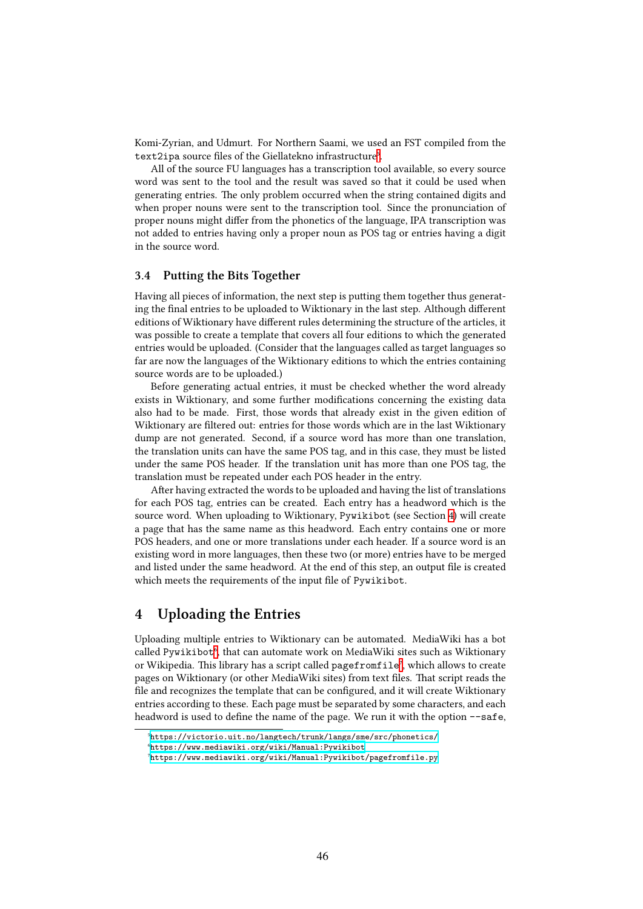Komi-Zyrian, and Udmurt. For Northern Saami, we used an FST compiled from the text2ipa source files of the Giellatekno infrastructure<sup>5</sup>.

All of the source FU languages has a transcription tool available, so every source word was sent to the tool and the result was saved so that it could be used when generating entries. The only problem occurred when the string contained digits and when proper nouns were sent to the transcription tool. Since the pronunciation of proper nouns might differ from the phonetics of the language, IPA transcription was not added to entries having only a proper noun as POS tag or entries having a digit in the source word.

### **3.4 Putting the Bits Together**

Having all pieces of information, the next step is putting them together thus generating the final entries to be uploaded to Wiktionary in the last step. Although different editions of Wiktionary have different rules determining the structure of the articles, it was possible to create a template that covers all four editions to which the generated entries would be uploaded. (Consider that the languages called as target languages so far are now the languages of the Wiktionary editions to which the entries containing source words are to be uploaded.)

Before generating actual entries, it must be checked whether the word already exists in Wiktionary, and some further modifications concerning the existing data also had to be made. First, those words that already exist in the given edition of Wiktionary are filtered out: entries for those words which are in the last Wiktionary dump are not generated. Second, if a source word has more than one translation, the translation units can have the same POS tag, and in this case, they must be listed under the same POS header. If the translation unit has more than one POS tag, the translation must be repeated under each POS header in the entry.

After having extracted the words to be uploaded and having the list of translations for each POS tag, entries can be created. Each entry has a headword which is the source word. When uploading to Wiktionary, Pywikibot (see Section [4](#page-7-0)) will create a page that has the same name as this headword. Each entry contains one or more POS headers, and one or more translations under each header. If a source word is an existing word in more languages, then these two (or more) entries have to be merged and listed under the same headword. At the end of this step, an output file is created which meets the requirements of the input file of Pywikibot.

## <span id="page-7-0"></span>**4 Uploading the Entries**

Uploading multiple entries to Wiktionary can be automated. MediaWiki has a bot called Pywikibot<sup>6</sup>, that can automate work on MediaWiki sites such as Wiktionary or Wikipedia. This library has a script called pagefromfile<sup>7</sup>, which allows to create pages on Wiktionary (or other MediaWiki sites) from text files. That script reads the file and recognizes the template that can be configured, and it will create Wiktionary entries according to these. Each page must be separated by some characters, and each headword is used to define the name of the page. We run it with the option --safe,

<span id="page-7-1"></span>⁵<https://victorio.uit.no/langtech/trunk/langs/sme/src/phonetics/>

<span id="page-7-2"></span>⁶<https://www.mediawiki.org/wiki/Manual:Pywikibot>

<span id="page-7-3"></span>⁷<https://www.mediawiki.org/wiki/Manual:Pywikibot/pagefromfile.py>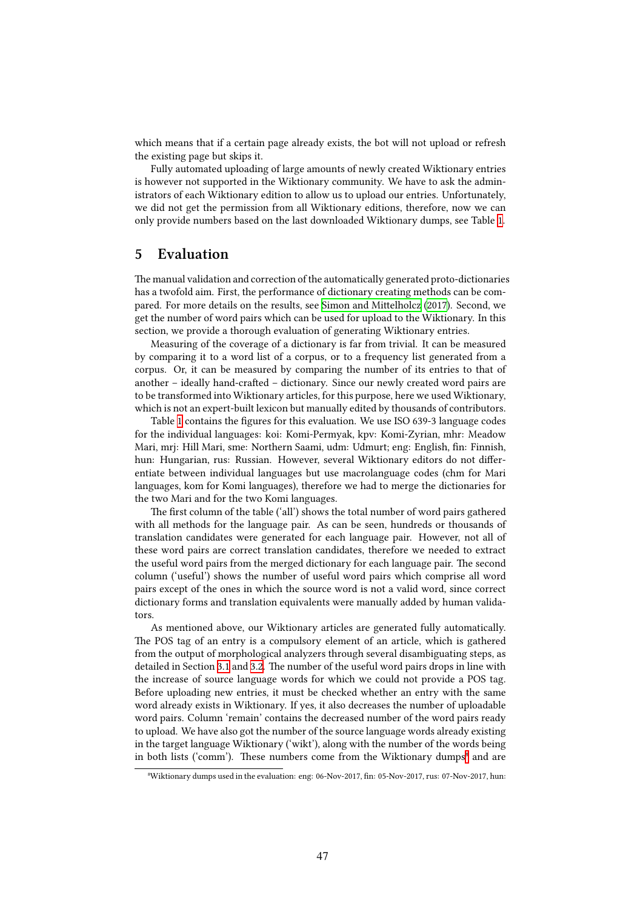which means that if a certain page already exists, the bot will not upload or refresh the existing page but skips it.

Fully automated uploading of large amounts of newly created Wiktionary entries is however not supported in the Wiktionary community. We have to ask the administrators of each Wiktionary edition to allow us to upload our entries. Unfortunately, we did not get the permission from all Wiktionary editions, therefore, now we can only provide numbers based on the last downloaded Wiktionary dumps, see Table [1.](#page-9-1)

### <span id="page-8-0"></span>**5 Evaluation**

The manual validation and correction of the automatically generated proto-dictionaries has a twofold aim. First, the performance of dictionary creating methods can be compared. For more details on the results, see [Simon and Mittelholcz](#page-11-0) [\(2017\)](#page-11-0). Second, we get the number of word pairs which can be used for upload to the Wiktionary. In this section, we provide a thorough evaluation of generating Wiktionary entries.

Measuring of the coverage of a dictionary is far from trivial. It can be measured by comparing it to a word list of a corpus, or to a frequency list generated from a corpus. Or, it can be measured by comparing the number of its entries to that of another – ideally hand-crafted – dictionary. Since our newly created word pairs are to be transformed into Wiktionary articles, for this purpose, here we used Wiktionary, which is not an expert-built lexicon but manually edited by thousands of contributors.

Table [1](#page-9-1) contains the figures for this evaluation. We use ISO 639-3 language codes for the individual languages: koi: Komi-Permyak, kpv: Komi-Zyrian, mhr: Meadow Mari, mrj: Hill Mari, sme: Northern Saami, udm: Udmurt; eng: English, fin: Finnish, hun: Hungarian, rus: Russian. However, several Wiktionary editors do not differentiate between individual languages but use macrolanguage codes (chm for Mari languages, kom for Komi languages), therefore we had to merge the dictionaries for the two Mari and for the two Komi languages.

The first column of the table ('all') shows the total number of word pairs gathered with all methods for the language pair. As can be seen, hundreds or thousands of translation candidates were generated for each language pair. However, not all of these word pairs are correct translation candidates, therefore we needed to extract the useful word pairs from the merged dictionary for each language pair. The second column ('useful') shows the number of useful word pairs which comprise all word pairs except of the ones in which the source word is not a valid word, since correct dictionary forms and translation equivalents were manually added by human validators.

As mentioned above, our Wiktionary articles are generated fully automatically. The POS tag of an entry is a compulsory element of an article, which is gathered from the output of morphological analyzers through several disambiguating steps, as detailed in Section [3.1](#page-4-2) and [3.2.](#page-5-0) The number of the useful word pairs drops in line with the increase of source language words for which we could not provide a POS tag. Before uploading new entries, it must be checked whether an entry with the same word already exists in Wiktionary. If yes, it also decreases the number of uploadable word pairs. Column 'remain' contains the decreased number of the word pairs ready to upload. We have also got the number of the source language words already existing in the target language Wiktionary ('wikt'), along with the number of the words being in both lists ('comm'). These numbers come from the Wiktionary dumps<sup>8</sup> and are

<span id="page-8-1"></span>⁸Wiktionary dumps used in the evaluation: eng: 06-Nov-2017, fin: 05-Nov-2017, rus: 07-Nov-2017, hun: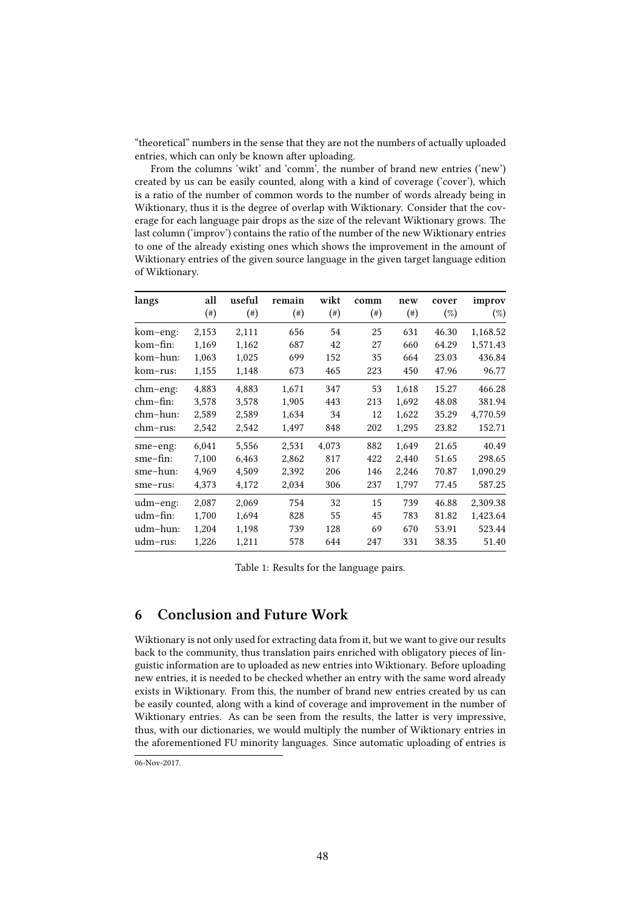"theoretical" numbers in the sense that they are not the numbers of actually uploaded entries, which can only be known after uploading.

From the columns 'wikt' and 'comm', the number of brand new entries ('new') created by us can be easily counted, along with a kind of coverage ('cover'), which is a ratio of the number of common words to the number of words already being in Wiktionary, thus it is the degree of overlap with Wiktionary. Consider that the coverage for each language pair drops as the size of the relevant Wiktionary grows. The last column ('improv') contains the ratio of the number of the new Wiktionary entries to one of the already existing ones which shows the improvement in the amount of Wiktionary entries of the given source language in the given target language edition of Wiktionary.

| langs          | all<br>$(\#)$ | useful<br>$(\#)$ | remain<br>$^{(*)}$ | wikt<br>$(\#)$ | comm<br>$^{(*)}$ | new<br>$(\#)$ | cover<br>$(\%)$ | improv<br>$(\%)$ |
|----------------|---------------|------------------|--------------------|----------------|------------------|---------------|-----------------|------------------|
| kom-eng:       | 2,153         | 2,111            | 656                | 54             | 25               | 631           | 46.30           | 1,168.52         |
| kom-fin:       | 1,169         | 1,162            | 687                | 42             | 27               | 660           | 64.29           | 1,571.43         |
| kom-hun:       | 1,063         | 1,025            | 699                | 152            | 35               | 664           | 23.03           | 436.84           |
| kom-rus:       | 1,155         | 1,148            | 673                | 465            | 223              | 450           | 47.96           | 96.77            |
| $chm$ – $eng:$ | 4,883         | 4,883            | 1,671              | 347            | 53               | 1,618         | 15.27           | 466.28           |
| $chm-fin:$     | 3,578         | 3,578            | 1,905              | 443            | 213              | 1,692         | 48.08           | 381.94           |
| chm-hun:       | 2,589         | 2,589            | 1,634              | 34             | 12               | 1,622         | 35.29           | 4,770.59         |
| $chm-rus:$     | 2,542         | 2,542            | 1,497              | 848            | 202              | 1,295         | 23.82           | 152.71           |
| sme-eng:       | 6,041         | 5,556            | 2,531              | 4,073          | 882              | 1,649         | 21.65           | 40.49            |
| sme-fin:       | 7,100         | 6,463            | 2,862              | 817            | 422              | 2,440         | 51.65           | 298.65           |
| sme-hun:       | 4,969         | 4,509            | 2,392              | 206            | 146              | 2,246         | 70.87           | 1,090.29         |
| sme-rus:       | 4,373         | 4,172            | 2,034              | 306            | 237              | 1,797         | 77.45           | 587.25           |
| udm-eng:       | 2,087         | 2,069            | 754                | 32             | 15               | 739           | 46.88           | 2,309.38         |
| udm-fin:       | 1,700         | 1,694            | 828                | 55             | 45               | 783           | 81.82           | 1,423.64         |
| udm–hun:       | 1,204         | 1,198            | 739                | 128            | 69               | 670           | 53.91           | 523.44           |
| udm-rus:       | 1,226         | 1,211            | 578                | 644            | 247              | 331           | 38.35           | 51.40            |

<span id="page-9-1"></span>Table 1: Results for the language pairs.

# <span id="page-9-0"></span>**6 Conclusion and Future Work**

Wiktionary is not only used for extracting data from it, but we want to give our results back to the community, thus translation pairs enriched with obligatory pieces of linguistic information are to uploaded as new entries into Wiktionary. Before uploading new entries, it is needed to be checked whether an entry with the same word already exists in Wiktionary. From this, the number of brand new entries created by us can be easily counted, along with a kind of coverage and improvement in the number of Wiktionary entries. As can be seen from the results, the latter is very impressive, thus, with our dictionaries, we would multiply the number of Wiktionary entries in the aforementioned FU minority languages. Since automatic uploading of entries is

<sup>06-</sup>Nov-2017.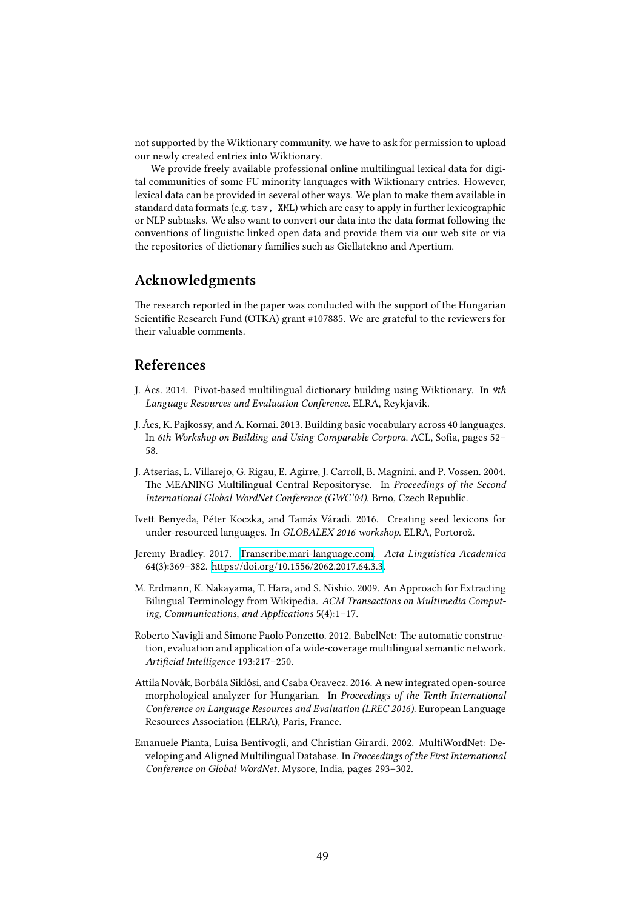not supported by the Wiktionary community, we have to ask for permission to upload our newly created entries into Wiktionary.

We provide freely available professional online multilingual lexical data for digital communities of some FU minority languages with Wiktionary entries. However, lexical data can be provided in several other ways. We plan to make them available in standard data formats (e.g. tsv, XML) which are easy to apply in further lexicographic or NLP subtasks. We also want to convert our data into the data format following the conventions of linguistic linked open data and provide them via our web site or via the repositories of dictionary families such as Giellatekno and Apertium.

# **Acknowledgments**

The research reported in the paper was conducted with the support of the Hungarian Scientific Research Fund (OTKA) grant #107885. We are grateful to the reviewers for their valuable comments.

## **References**

- <span id="page-10-6"></span>J. Ács. 2014. Pivot-based multilingual dictionary building using Wiktionary. In *9th Language Resources and Evaluation Conference*. ELRA, Reykjavik.
- <span id="page-10-5"></span>J. Ács, K. Pajkossy, and A. Kornai. 2013. Building basic vocabulary across 40 languages. In *6th Workshop on Building and Using Comparable Corpora*. ACL, Sofia, pages 52– 58.
- <span id="page-10-1"></span>J. Atserias, L. Villarejo, G. Rigau, E. Agirre, J. Carroll, B. Magnini, and P. Vossen. 2004. The MEANING Multilingual Central Repositoryse. In *Proceedings of the Second International Global WordNet Conference (GWC'04)*. Brno, Czech Republic.
- <span id="page-10-3"></span>Ivett Benyeda, Péter Koczka, and Tamás Váradi. 2016. Creating seed lexicons for under-resourced languages. In *GLOBALEX 2016 workshop*. ELRA, Portorož.
- <span id="page-10-8"></span>Jeremy Bradley. 2017. [Transcribe.mari-language.com.](https://doi.org/10.1556/2062.2017.64.3.3) *Acta Linguistica Academica* 64(3):369–382. [https://doi.org/10.1556/2062.2017.64.3.3.](https://doi.org/10.1556/2062.2017.64.3.3)
- <span id="page-10-4"></span>M. Erdmann, K. Nakayama, T. Hara, and S. Nishio. 2009. An Approach for Extracting Bilingual Terminology from Wikipedia. *ACM Transactions on Multimedia Computing, Communications, and Applications* 5(4):1–17.
- <span id="page-10-0"></span>Roberto Navigli and Simone Paolo Ponzetto. 2012. BabelNet: The automatic construction, evaluation and application of a wide-coverage multilingual semantic network. *Artificial Intelligence* 193:217–250.
- <span id="page-10-7"></span>Attila Novák, Borbála Siklósi, and Csaba Oravecz. 2016. A new integrated open-source morphological analyzer for Hungarian. In *Proceedings of the Tenth International Conference on Language Resources and Evaluation (LREC 2016)*. European Language Resources Association (ELRA), Paris, France.
- <span id="page-10-2"></span>Emanuele Pianta, Luisa Bentivogli, and Christian Girardi. 2002. MultiWordNet: Developing and Aligned Multilingual Database. In *Proceedings of the First International Conference on Global WordNet*. Mysore, India, pages 293–302.